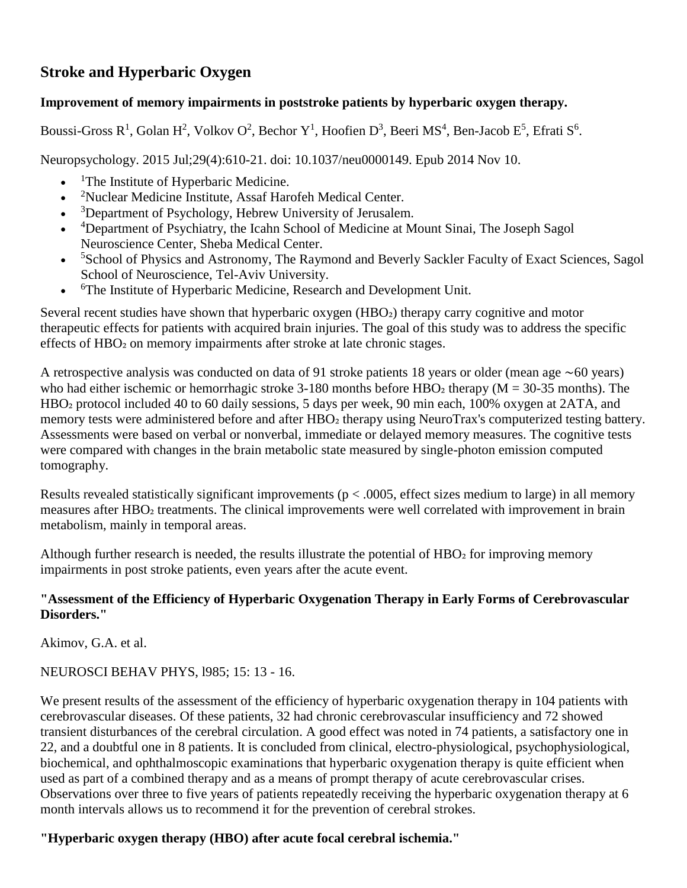# **Stroke and Hyperbaric Oxygen**

#### **Improvement of memory impairments in poststroke patients by hyperbaric oxygen therapy.**

Boussi-Gross R<sup>1</sup>, [Golan H](http://www.ncbi.nlm.nih.gov/pubmed/?term=Golan%20H%5BAuthor%5D&cauthor=true&cauthor_uid=25384125)<sup>2</sup>, Volkov O<sup>2</sup>, [Bechor Y](http://www.ncbi.nlm.nih.gov/pubmed/?term=Bechor%20Y%5BAuthor%5D&cauthor=true&cauthor_uid=25384125)<sup>1</sup>, Hoofien D<sup>3</sup>, Beeri MS<sup>4</sup>, Ben-Jacob E<sup>5</sup>, Efrati S<sup>6</sup>.

[Neuropsychology.](http://www.ncbi.nlm.nih.gov/pubmed/25384125) 2015 Jul;29(4):610-21. doi: 10.1037/neu0000149. Epub 2014 Nov 10.

- $\bullet$ <sup>1</sup>The Institute of Hyperbaric Medicine.
- $\bullet$ <sup>2</sup>Nuclear Medicine Institute, Assaf Harofeh Medical Center.
- $\bullet$ <sup>3</sup>Department of Psychology, Hebrew University of Jerusalem.
- <sup>4</sup>Department of Psychiatry, the Icahn School of Medicine at Mount Sinai, The Joseph Sagol Neuroscience Center, Sheba Medical Center.
- <sup>5</sup>School of Physics and Astronomy, The Raymond and Beverly Sackler Faculty of Exact Sciences, Sagol School of Neuroscience, Tel-Aviv University.
- <sup>6</sup>The Institute of Hyperbaric Medicine, Research and Development Unit.

Several recent studies have shown that hyperbaric oxygen (HBO2) therapy carry cognitive and motor therapeutic effects for patients with acquired brain injuries. The goal of this study was to address the specific effects of HBO<sub>2</sub> on memory impairments after stroke at late chronic stages.

A retrospective analysis was conducted on data of 91 stroke patients 18 years or older (mean age ∼60 years) who had either ischemic or hemorrhagic stroke  $3-180$  months before HBO<sub>2</sub> therapy (M = 30-35 months). The HBO<sub>2</sub> protocol included 40 to 60 daily sessions, 5 days per week, 90 min each, 100% oxygen at 2ATA, and memory tests were administered before and after HBO<sub>2</sub> therapy using NeuroTrax's computerized testing battery. Assessments were based on verbal or nonverbal, immediate or delayed memory measures. The cognitive tests were compared with changes in the brain metabolic state measured by single-photon emission computed tomography.

Results revealed statistically significant improvements ( $p < .0005$ , effect sizes medium to large) in all memory measures after HBO<sub>2</sub> treatments. The clinical improvements were well correlated with improvement in brain metabolism, mainly in temporal areas.

Although further research is needed, the results illustrate the potential of HBO2 for improving memory impairments in post stroke patients, even years after the acute event.

#### **"Assessment of the Efficiency of Hyperbaric Oxygenation Therapy in Early Forms of Cerebrovascular Disorders."**

Akimov, G.A. et al.

### NEUROSCI BEHAV PHYS, l985; 15: 13 - 16.

We present results of the assessment of the efficiency of hyperbaric oxygenation therapy in 104 patients with cerebrovascular diseases. Of these patients, 32 had chronic cerebrovascular insufficiency and 72 showed transient disturbances of the cerebral circulation. A good effect was noted in 74 patients, a satisfactory one in 22, and a doubtful one in 8 patients. It is concluded from clinical, electro-physiological, psychophysiological, biochemical, and ophthalmoscopic examinations that hyperbaric oxygenation therapy is quite efficient when used as part of a combined therapy and as a means of prompt therapy of acute cerebrovascular crises. Observations over three to five years of patients repeatedly receiving the hyperbaric oxygenation therapy at 6 month intervals allows us to recommend it for the prevention of cerebral strokes.

### **"Hyperbaric oxygen therapy (HBO) after acute focal cerebral ischemia."**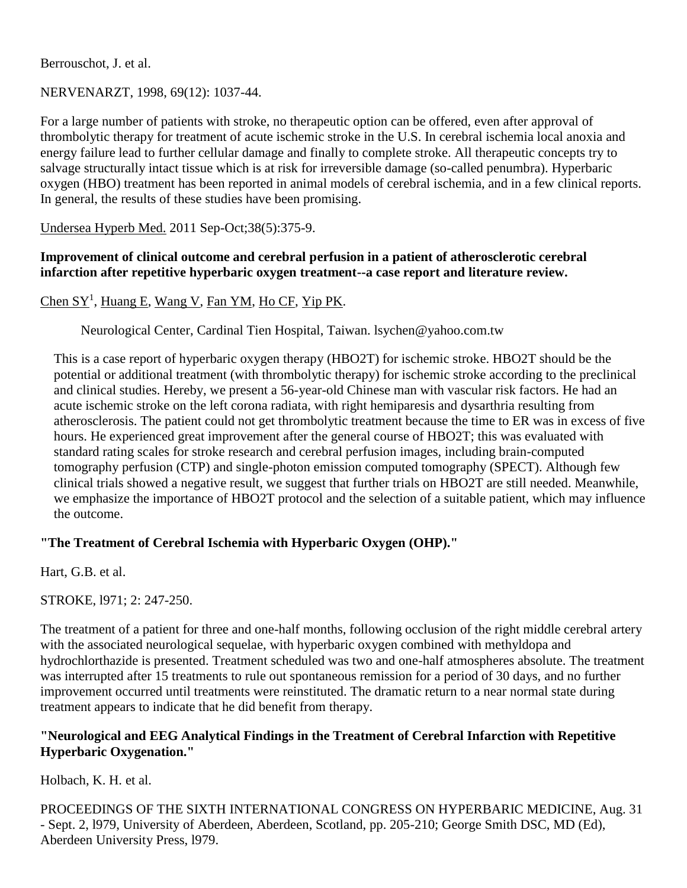Berrouschot, J. et al.

NERVENARZT, 1998, 69(12): 1037-44.

For a large number of patients with stroke, no therapeutic option can be offered, even after approval of thrombolytic therapy for treatment of acute ischemic stroke in the U.S. In cerebral ischemia local anoxia and energy failure lead to further cellular damage and finally to complete stroke. All therapeutic concepts try to salvage structurally intact tissue which is at risk for irreversible damage (so-called penumbra). Hyperbaric oxygen (HBO) treatment has been reported in animal models of cerebral ischemia, and in a few clinical reports. In general, the results of these studies have been promising.

[Undersea Hyperb Med.](https://www.ncbi.nlm.nih.gov/pubmed/22013763) 2011 Sep-Oct;38(5):375-9.

#### **Improvement of clinical outcome and cerebral perfusion in a patient of atherosclerotic cerebral infarction after repetitive hyperbaric oxygen treatment--a case report and literature review.**

### $Chen SY<sup>1</sup>$  $Chen SY<sup>1</sup>$ , [Huang E,](https://www.ncbi.nlm.nih.gov/pubmed/?term=Huang%20E%5BAuthor%5D&cauthor=true&cauthor_uid=22013763) [Wang V,](https://www.ncbi.nlm.nih.gov/pubmed/?term=Wang%20V%5BAuthor%5D&cauthor=true&cauthor_uid=22013763) [Fan YM,](https://www.ncbi.nlm.nih.gov/pubmed/?term=Fan%20YM%5BAuthor%5D&cauthor=true&cauthor_uid=22013763) [Ho CF,](https://www.ncbi.nlm.nih.gov/pubmed/?term=Ho%20CF%5BAuthor%5D&cauthor=true&cauthor_uid=22013763) [Yip PK.](https://www.ncbi.nlm.nih.gov/pubmed/?term=Yip%20PK%5BAuthor%5D&cauthor=true&cauthor_uid=22013763)

Neurological Center, Cardinal Tien Hospital, Taiwan. lsychen@yahoo.com.tw

This is a case report of hyperbaric oxygen therapy (HBO2T) for ischemic stroke. HBO2T should be the potential or additional treatment (with thrombolytic therapy) for ischemic stroke according to the preclinical and clinical studies. Hereby, we present a 56-year-old Chinese man with vascular risk factors. He had an acute ischemic stroke on the left corona radiata, with right hemiparesis and dysarthria resulting from atherosclerosis. The patient could not get thrombolytic treatment because the time to ER was in excess of five hours. He experienced great improvement after the general course of HBO2T; this was evaluated with standard rating scales for stroke research and cerebral perfusion images, including brain-computed tomography perfusion (CTP) and single-photon emission computed tomography (SPECT). Although few clinical trials showed a negative result, we suggest that further trials on HBO2T are still needed. Meanwhile, we emphasize the importance of HBO2T protocol and the selection of a suitable patient, which may influence the outcome.

### **"The Treatment of Cerebral Ischemia with Hyperbaric Oxygen (OHP)."**

Hart, G.B. et al.

STROKE, l971; 2: 247-250.

The treatment of a patient for three and one-half months, following occlusion of the right middle cerebral artery with the associated neurological sequelae, with hyperbaric oxygen combined with methyldopa and hydrochlorthazide is presented. Treatment scheduled was two and one-half atmospheres absolute. The treatment was interrupted after 15 treatments to rule out spontaneous remission for a period of 30 days, and no further improvement occurred until treatments were reinstituted. The dramatic return to a near normal state during treatment appears to indicate that he did benefit from therapy.

### **"Neurological and EEG Analytical Findings in the Treatment of Cerebral Infarction with Repetitive Hyperbaric Oxygenation."**

Holbach, K. H. et al.

PROCEEDINGS OF THE SIXTH INTERNATIONAL CONGRESS ON HYPERBARIC MEDICINE, Aug. 31 - Sept. 2, l979, University of Aberdeen, Aberdeen, Scotland, pp. 205-210; George Smith DSC, MD (Ed), Aberdeen University Press, l979.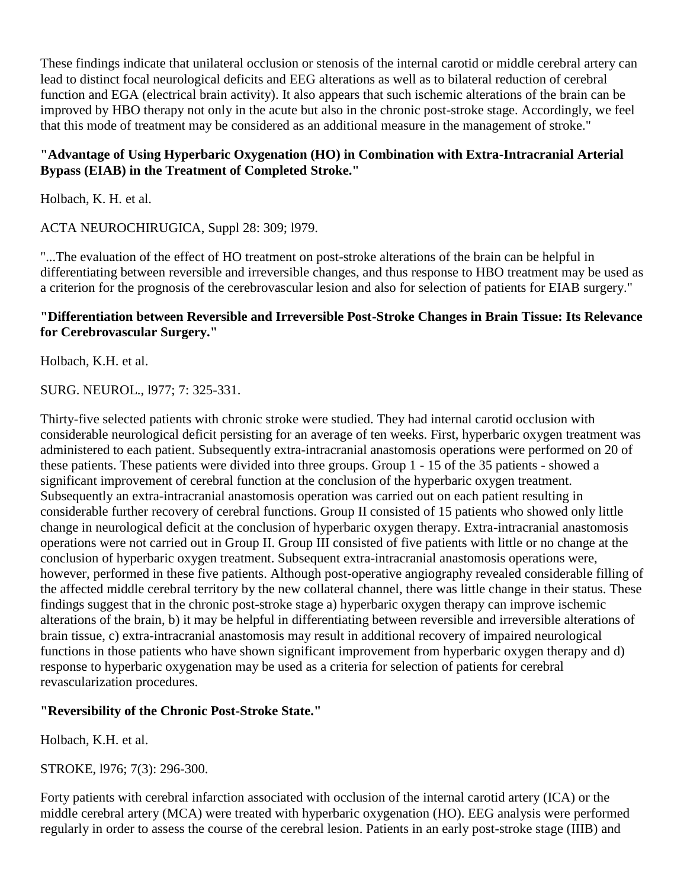These findings indicate that unilateral occlusion or stenosis of the internal carotid or middle cerebral artery can lead to distinct focal neurological deficits and EEG alterations as well as to bilateral reduction of cerebral function and EGA (electrical brain activity). It also appears that such ischemic alterations of the brain can be improved by HBO therapy not only in the acute but also in the chronic post-stroke stage. Accordingly, we feel that this mode of treatment may be considered as an additional measure in the management of stroke."

#### **"Advantage of Using Hyperbaric Oxygenation (HO) in Combination with Extra-Intracranial Arterial Bypass (EIAB) in the Treatment of Completed Stroke."**

Holbach, K. H. et al.

ACTA NEUROCHIRUGICA, Suppl 28: 309; l979.

"...The evaluation of the effect of HO treatment on post-stroke alterations of the brain can be helpful in differentiating between reversible and irreversible changes, and thus response to HBO treatment may be used as a criterion for the prognosis of the cerebrovascular lesion and also for selection of patients for EIAB surgery."

#### **"Differentiation between Reversible and Irreversible Post-Stroke Changes in Brain Tissue: Its Relevance for Cerebrovascular Surgery."**

Holbach, K.H. et al.

#### SURG. NEUROL., l977; 7: 325-331.

Thirty-five selected patients with chronic stroke were studied. They had internal carotid occlusion with considerable neurological deficit persisting for an average of ten weeks. First, hyperbaric oxygen treatment was administered to each patient. Subsequently extra-intracranial anastomosis operations were performed on 20 of these patients. These patients were divided into three groups. Group 1 - 15 of the 35 patients - showed a significant improvement of cerebral function at the conclusion of the hyperbaric oxygen treatment. Subsequently an extra-intracranial anastomosis operation was carried out on each patient resulting in considerable further recovery of cerebral functions. Group II consisted of 15 patients who showed only little change in neurological deficit at the conclusion of hyperbaric oxygen therapy. Extra-intracranial anastomosis operations were not carried out in Group II. Group III consisted of five patients with little or no change at the conclusion of hyperbaric oxygen treatment. Subsequent extra-intracranial anastomosis operations were, however, performed in these five patients. Although post-operative angiography revealed considerable filling of the affected middle cerebral territory by the new collateral channel, there was little change in their status. These findings suggest that in the chronic post-stroke stage a) hyperbaric oxygen therapy can improve ischemic alterations of the brain, b) it may be helpful in differentiating between reversible and irreversible alterations of brain tissue, c) extra-intracranial anastomosis may result in additional recovery of impaired neurological functions in those patients who have shown significant improvement from hyperbaric oxygen therapy and d) response to hyperbaric oxygenation may be used as a criteria for selection of patients for cerebral revascularization procedures.

### **"Reversibility of the Chronic Post-Stroke State."**

Holbach, K.H. et al.

STROKE, l976; 7(3): 296-300.

Forty patients with cerebral infarction associated with occlusion of the internal carotid artery (ICA) or the middle cerebral artery (MCA) were treated with hyperbaric oxygenation (HO). EEG analysis were performed regularly in order to assess the course of the cerebral lesion. Patients in an early post-stroke stage (IIIB) and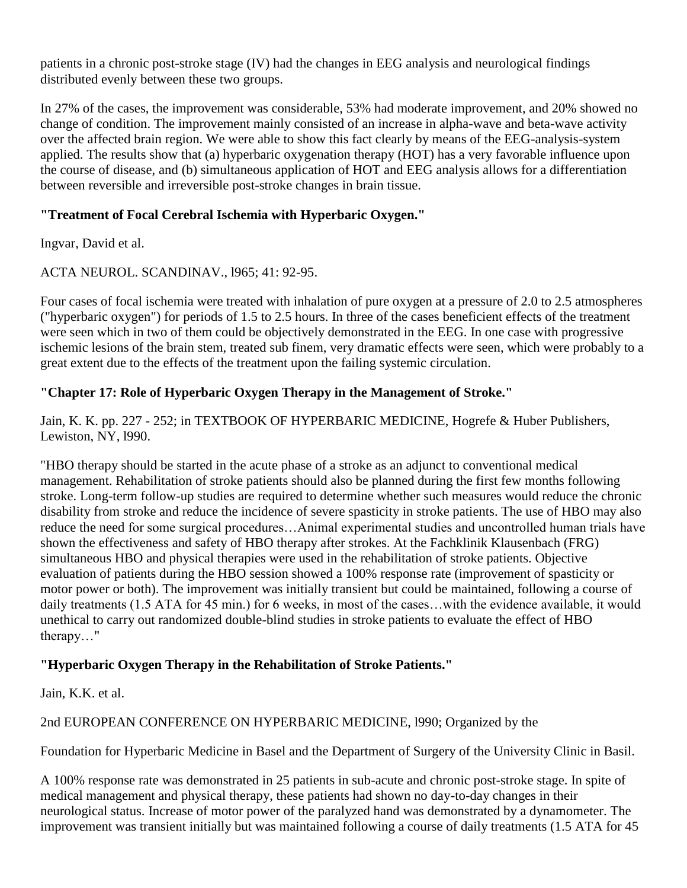patients in a chronic post-stroke stage (IV) had the changes in EEG analysis and neurological findings distributed evenly between these two groups.

In 27% of the cases, the improvement was considerable, 53% had moderate improvement, and 20% showed no change of condition. The improvement mainly consisted of an increase in alpha-wave and beta-wave activity over the affected brain region. We were able to show this fact clearly by means of the EEG-analysis-system applied. The results show that (a) hyperbaric oxygenation therapy (HOT) has a very favorable influence upon the course of disease, and (b) simultaneous application of HOT and EEG analysis allows for a differentiation between reversible and irreversible post-stroke changes in brain tissue.

### **"Treatment of Focal Cerebral Ischemia with Hyperbaric Oxygen."**

Ingvar, David et al.

ACTA NEUROL. SCANDINAV., l965; 41: 92-95.

Four cases of focal ischemia were treated with inhalation of pure oxygen at a pressure of 2.0 to 2.5 atmospheres ("hyperbaric oxygen") for periods of 1.5 to 2.5 hours. In three of the cases beneficient effects of the treatment were seen which in two of them could be objectively demonstrated in the EEG. In one case with progressive ischemic lesions of the brain stem, treated sub finem, very dramatic effects were seen, which were probably to a great extent due to the effects of the treatment upon the failing systemic circulation.

# **"Chapter 17: Role of Hyperbaric Oxygen Therapy in the Management of Stroke."**

Jain, K. K. pp. 227 - 252; in TEXTBOOK OF HYPERBARIC MEDICINE, Hogrefe & Huber Publishers, Lewiston, NY, l990.

"HBO therapy should be started in the acute phase of a stroke as an adjunct to conventional medical management. Rehabilitation of stroke patients should also be planned during the first few months following stroke. Long-term follow-up studies are required to determine whether such measures would reduce the chronic disability from stroke and reduce the incidence of severe spasticity in stroke patients. The use of HBO may also reduce the need for some surgical procedures…Animal experimental studies and uncontrolled human trials have shown the effectiveness and safety of HBO therapy after strokes. At the Fachklinik Klausenbach (FRG) simultaneous HBO and physical therapies were used in the rehabilitation of stroke patients. Objective evaluation of patients during the HBO session showed a 100% response rate (improvement of spasticity or motor power or both). The improvement was initially transient but could be maintained, following a course of daily treatments (1.5 ATA for 45 min.) for 6 weeks, in most of the cases…with the evidence available, it would unethical to carry out randomized double-blind studies in stroke patients to evaluate the effect of HBO therapy…"

### **"Hyperbaric Oxygen Therapy in the Rehabilitation of Stroke Patients."**

Jain, K.K. et al.

# 2nd EUROPEAN CONFERENCE ON HYPERBARIC MEDICINE, l990; Organized by the

Foundation for Hyperbaric Medicine in Basel and the Department of Surgery of the University Clinic in Basil.

A 100% response rate was demonstrated in 25 patients in sub-acute and chronic post-stroke stage. In spite of medical management and physical therapy, these patients had shown no day-to-day changes in their neurological status. Increase of motor power of the paralyzed hand was demonstrated by a dynamometer. The improvement was transient initially but was maintained following a course of daily treatments (1.5 ATA for 45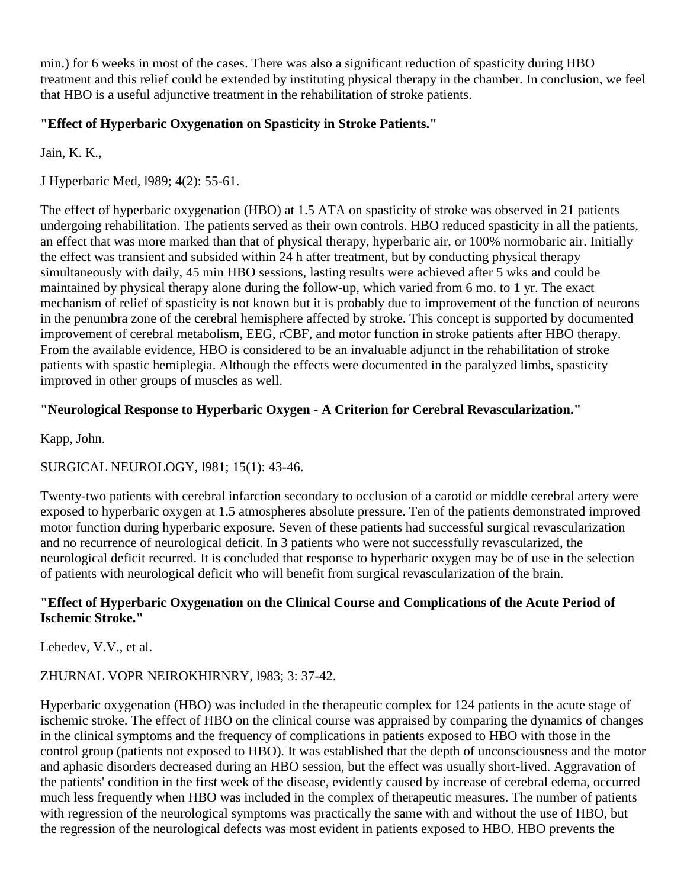min.) for 6 weeks in most of the cases. There was also a significant reduction of spasticity during HBO treatment and this relief could be extended by instituting physical therapy in the chamber. In conclusion, we feel that HBO is a useful adjunctive treatment in the rehabilitation of stroke patients.

#### **"Effect of Hyperbaric Oxygenation on Spasticity in Stroke Patients."**

Jain, K. K.,

J Hyperbaric Med, l989; 4(2): 55-61.

The effect of hyperbaric oxygenation (HBO) at 1.5 ATA on spasticity of stroke was observed in 21 patients undergoing rehabilitation. The patients served as their own controls. HBO reduced spasticity in all the patients, an effect that was more marked than that of physical therapy, hyperbaric air, or 100% normobaric air. Initially the effect was transient and subsided within 24 h after treatment, but by conducting physical therapy simultaneously with daily, 45 min HBO sessions, lasting results were achieved after 5 wks and could be maintained by physical therapy alone during the follow-up, which varied from 6 mo. to 1 yr. The exact mechanism of relief of spasticity is not known but it is probably due to improvement of the function of neurons in the penumbra zone of the cerebral hemisphere affected by stroke. This concept is supported by documented improvement of cerebral metabolism, EEG, rCBF, and motor function in stroke patients after HBO therapy. From the available evidence, HBO is considered to be an invaluable adjunct in the rehabilitation of stroke patients with spastic hemiplegia. Although the effects were documented in the paralyzed limbs, spasticity improved in other groups of muscles as well.

### **"Neurological Response to Hyperbaric Oxygen - A Criterion for Cerebral Revascularization."**

Kapp, John.

### SURGICAL NEUROLOGY, l981; 15(1): 43-46.

Twenty-two patients with cerebral infarction secondary to occlusion of a carotid or middle cerebral artery were exposed to hyperbaric oxygen at 1.5 atmospheres absolute pressure. Ten of the patients demonstrated improved motor function during hyperbaric exposure. Seven of these patients had successful surgical revascularization and no recurrence of neurological deficit. In 3 patients who were not successfully revascularized, the neurological deficit recurred. It is concluded that response to hyperbaric oxygen may be of use in the selection of patients with neurological deficit who will benefit from surgical revascularization of the brain.

#### **"Effect of Hyperbaric Oxygenation on the Clinical Course and Complications of the Acute Period of Ischemic Stroke."**

Lebedev, V.V., et al.

### ZHURNAL VOPR NEIROKHIRNRY, l983; 3: 37-42.

Hyperbaric oxygenation (HBO) was included in the therapeutic complex for 124 patients in the acute stage of ischemic stroke. The effect of HBO on the clinical course was appraised by comparing the dynamics of changes in the clinical symptoms and the frequency of complications in patients exposed to HBO with those in the control group (patients not exposed to HBO). It was established that the depth of unconsciousness and the motor and aphasic disorders decreased during an HBO session, but the effect was usually short-lived. Aggravation of the patients' condition in the first week of the disease, evidently caused by increase of cerebral edema, occurred much less frequently when HBO was included in the complex of therapeutic measures. The number of patients with regression of the neurological symptoms was practically the same with and without the use of HBO, but the regression of the neurological defects was most evident in patients exposed to HBO. HBO prevents the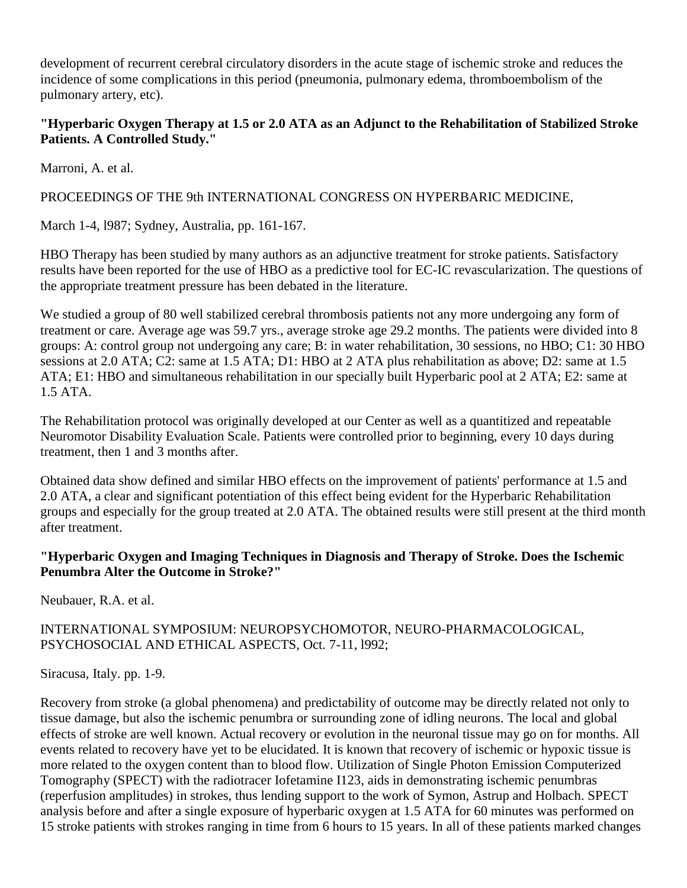development of recurrent cerebral circulatory disorders in the acute stage of ischemic stroke and reduces the incidence of some complications in this period (pneumonia, pulmonary edema, thromboembolism of the pulmonary artery, etc).

#### **"Hyperbaric Oxygen Therapy at 1.5 or 2.0 ATA as an Adjunct to the Rehabilitation of Stabilized Stroke Patients. A Controlled Study."**

Marroni, A. et al.

### PROCEEDINGS OF THE 9th INTERNATIONAL CONGRESS ON HYPERBARIC MEDICINE,

March 1-4, l987; Sydney, Australia, pp. 161-167.

HBO Therapy has been studied by many authors as an adjunctive treatment for stroke patients. Satisfactory results have been reported for the use of HBO as a predictive tool for EC-IC revascularization. The questions of the appropriate treatment pressure has been debated in the literature.

We studied a group of 80 well stabilized cerebral thrombosis patients not any more undergoing any form of treatment or care. Average age was 59.7 yrs., average stroke age 29.2 months. The patients were divided into 8 groups: A: control group not undergoing any care; B: in water rehabilitation, 30 sessions, no HBO; C1: 30 HBO sessions at 2.0 ATA; C2: same at 1.5 ATA; D1: HBO at 2 ATA plus rehabilitation as above; D2: same at 1.5 ATA; E1: HBO and simultaneous rehabilitation in our specially built Hyperbaric pool at 2 ATA; E2: same at 1.5 ATA.

The Rehabilitation protocol was originally developed at our Center as well as a quantitized and repeatable Neuromotor Disability Evaluation Scale. Patients were controlled prior to beginning, every 10 days during treatment, then 1 and 3 months after.

Obtained data show defined and similar HBO effects on the improvement of patients' performance at 1.5 and 2.0 ATA, a clear and significant potentiation of this effect being evident for the Hyperbaric Rehabilitation groups and especially for the group treated at 2.0 ATA. The obtained results were still present at the third month after treatment.

#### **"Hyperbaric Oxygen and Imaging Techniques in Diagnosis and Therapy of Stroke. Does the Ischemic Penumbra Alter the Outcome in Stroke?"**

Neubauer, R.A. et al.

#### INTERNATIONAL SYMPOSIUM: NEUROPSYCHOMOTOR, NEURO-PHARMACOLOGICAL, PSYCHOSOCIAL AND ETHICAL ASPECTS, Oct. 7-11, l992;

Siracusa, Italy. pp. 1-9.

Recovery from stroke (a global phenomena) and predictability of outcome may be directly related not only to tissue damage, but also the ischemic penumbra or surrounding zone of idling neurons. The local and global effects of stroke are well known. Actual recovery or evolution in the neuronal tissue may go on for months. All events related to recovery have yet to be elucidated. It is known that recovery of ischemic or hypoxic tissue is more related to the oxygen content than to blood flow. Utilization of Single Photon Emission Computerized Tomography (SPECT) with the radiotracer Iofetamine I123, aids in demonstrating ischemic penumbras (reperfusion amplitudes) in strokes, thus lending support to the work of Symon, Astrup and Holbach. SPECT analysis before and after a single exposure of hyperbaric oxygen at 1.5 ATA for 60 minutes was performed on 15 stroke patients with strokes ranging in time from 6 hours to 15 years. In all of these patients marked changes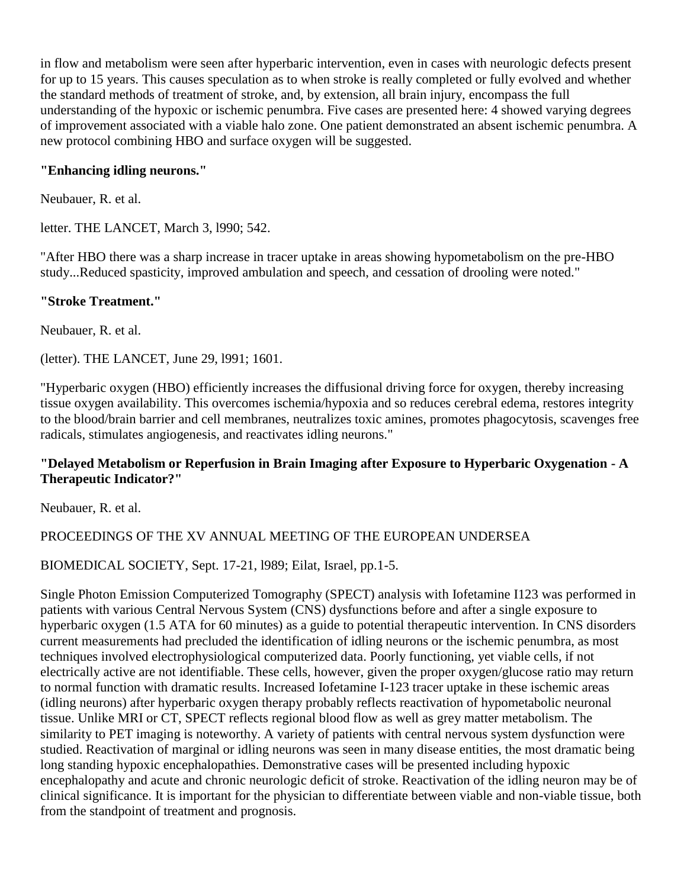in flow and metabolism were seen after hyperbaric intervention, even in cases with neurologic defects present for up to 15 years. This causes speculation as to when stroke is really completed or fully evolved and whether the standard methods of treatment of stroke, and, by extension, all brain injury, encompass the full understanding of the hypoxic or ischemic penumbra. Five cases are presented here: 4 showed varying degrees of improvement associated with a viable halo zone. One patient demonstrated an absent ischemic penumbra. A new protocol combining HBO and surface oxygen will be suggested.

#### **"Enhancing idling neurons."**

Neubauer, R. et al.

letter. THE LANCET, March 3, l990; 542.

"After HBO there was a sharp increase in tracer uptake in areas showing hypometabolism on the pre-HBO study...Reduced spasticity, improved ambulation and speech, and cessation of drooling were noted."

#### **"Stroke Treatment."**

Neubauer, R. et al.

(letter). THE LANCET, June 29, l991; 1601.

"Hyperbaric oxygen (HBO) efficiently increases the diffusional driving force for oxygen, thereby increasing tissue oxygen availability. This overcomes ischemia/hypoxia and so reduces cerebral edema, restores integrity to the blood/brain barrier and cell membranes, neutralizes toxic amines, promotes phagocytosis, scavenges free radicals, stimulates angiogenesis, and reactivates idling neurons."

#### **"Delayed Metabolism or Reperfusion in Brain Imaging after Exposure to Hyperbaric Oxygenation - A Therapeutic Indicator?"**

Neubauer, R. et al.

### PROCEEDINGS OF THE XV ANNUAL MEETING OF THE EUROPEAN UNDERSEA

BIOMEDICAL SOCIETY, Sept. 17-21, l989; Eilat, Israel, pp.1-5.

Single Photon Emission Computerized Tomography (SPECT) analysis with Iofetamine I123 was performed in patients with various Central Nervous System (CNS) dysfunctions before and after a single exposure to hyperbaric oxygen (1.5 ATA for 60 minutes) as a guide to potential therapeutic intervention. In CNS disorders current measurements had precluded the identification of idling neurons or the ischemic penumbra, as most techniques involved electrophysiological computerized data. Poorly functioning, yet viable cells, if not electrically active are not identifiable. These cells, however, given the proper oxygen/glucose ratio may return to normal function with dramatic results. Increased Iofetamine I-123 tracer uptake in these ischemic areas (idling neurons) after hyperbaric oxygen therapy probably reflects reactivation of hypometabolic neuronal tissue. Unlike MRI or CT, SPECT reflects regional blood flow as well as grey matter metabolism. The similarity to PET imaging is noteworthy. A variety of patients with central nervous system dysfunction were studied. Reactivation of marginal or idling neurons was seen in many disease entities, the most dramatic being long standing hypoxic encephalopathies. Demonstrative cases will be presented including hypoxic encephalopathy and acute and chronic neurologic deficit of stroke. Reactivation of the idling neuron may be of clinical significance. It is important for the physician to differentiate between viable and non-viable tissue, both from the standpoint of treatment and prognosis.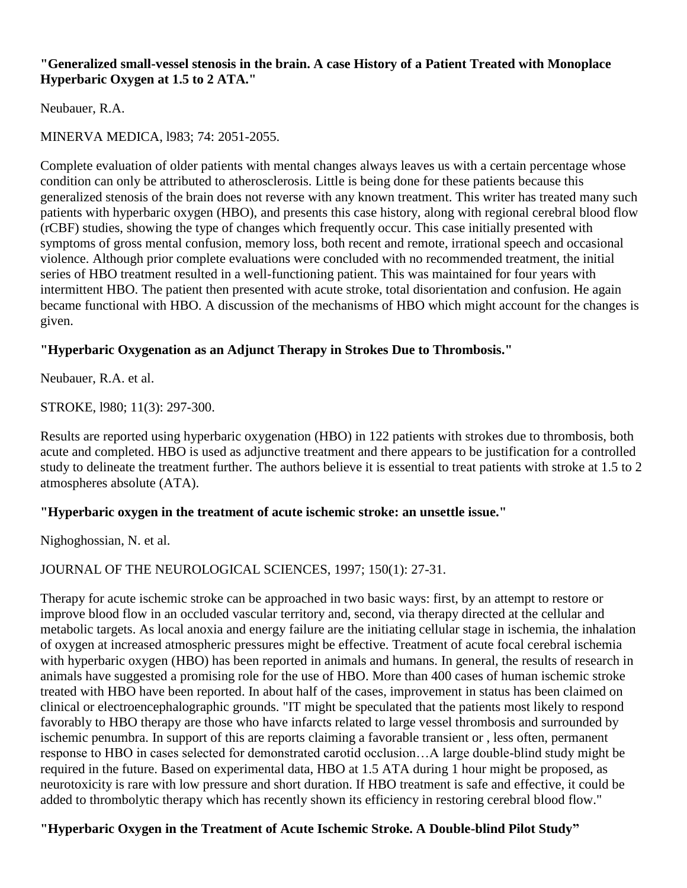#### **"Generalized small-vessel stenosis in the brain. A case History of a Patient Treated with Monoplace Hyperbaric Oxygen at 1.5 to 2 ATA."**

#### Neubauer, R.A.

### MINERVA MEDICA, l983; 74: 2051-2055.

Complete evaluation of older patients with mental changes always leaves us with a certain percentage whose condition can only be attributed to atherosclerosis. Little is being done for these patients because this generalized stenosis of the brain does not reverse with any known treatment. This writer has treated many such patients with hyperbaric oxygen (HBO), and presents this case history, along with regional cerebral blood flow (rCBF) studies, showing the type of changes which frequently occur. This case initially presented with symptoms of gross mental confusion, memory loss, both recent and remote, irrational speech and occasional violence. Although prior complete evaluations were concluded with no recommended treatment, the initial series of HBO treatment resulted in a well-functioning patient. This was maintained for four years with intermittent HBO. The patient then presented with acute stroke, total disorientation and confusion. He again became functional with HBO. A discussion of the mechanisms of HBO which might account for the changes is given.

### **"Hyperbaric Oxygenation as an Adjunct Therapy in Strokes Due to Thrombosis."**

Neubauer, R.A. et al.

STROKE, l980; 11(3): 297-300.

Results are reported using hyperbaric oxygenation (HBO) in 122 patients with strokes due to thrombosis, both acute and completed. HBO is used as adjunctive treatment and there appears to be justification for a controlled study to delineate the treatment further. The authors believe it is essential to treat patients with stroke at 1.5 to 2 atmospheres absolute (ATA).

### **"Hyperbaric oxygen in the treatment of acute ischemic stroke: an unsettle issue."**

Nighoghossian, N. et al.

#### JOURNAL OF THE NEUROLOGICAL SCIENCES, 1997; 150(1): 27-31.

Therapy for acute ischemic stroke can be approached in two basic ways: first, by an attempt to restore or improve blood flow in an occluded vascular territory and, second, via therapy directed at the cellular and metabolic targets. As local anoxia and energy failure are the initiating cellular stage in ischemia, the inhalation of oxygen at increased atmospheric pressures might be effective. Treatment of acute focal cerebral ischemia with hyperbaric oxygen (HBO) has been reported in animals and humans. In general, the results of research in animals have suggested a promising role for the use of HBO. More than 400 cases of human ischemic stroke treated with HBO have been reported. In about half of the cases, improvement in status has been claimed on clinical or electroencephalographic grounds. "IT might be speculated that the patients most likely to respond favorably to HBO therapy are those who have infarcts related to large vessel thrombosis and surrounded by ischemic penumbra. In support of this are reports claiming a favorable transient or , less often, permanent response to HBO in cases selected for demonstrated carotid occlusion…A large double-blind study might be required in the future. Based on experimental data, HBO at 1.5 ATA during 1 hour might be proposed, as neurotoxicity is rare with low pressure and short duration. If HBO treatment is safe and effective, it could be added to thrombolytic therapy which has recently shown its efficiency in restoring cerebral blood flow."

### **"Hyperbaric Oxygen in the Treatment of Acute Ischemic Stroke. A Double-blind Pilot Study"**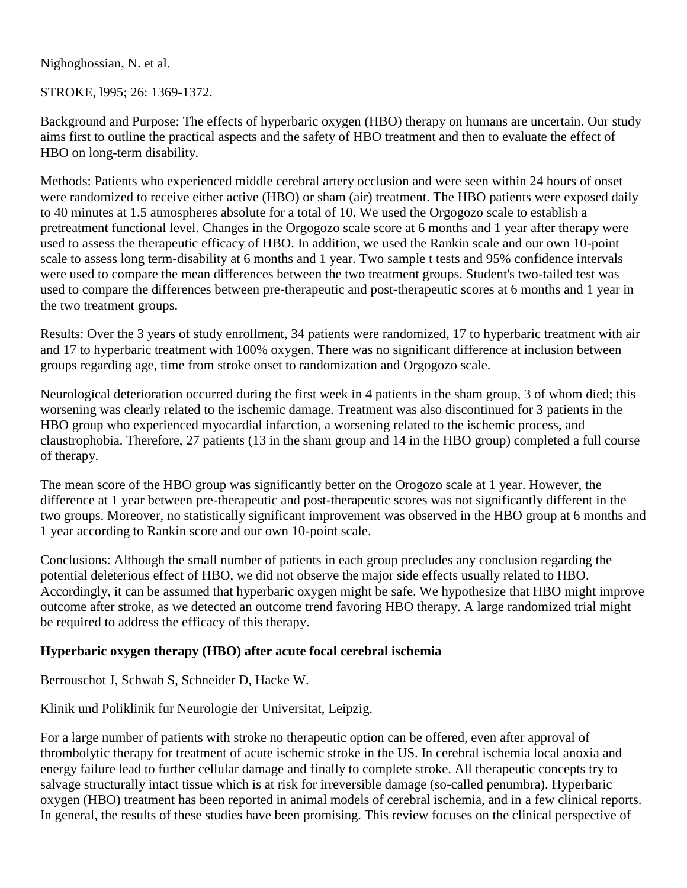Nighoghossian, N. et al.

STROKE, l995; 26: 1369-1372.

Background and Purpose: The effects of hyperbaric oxygen (HBO) therapy on humans are uncertain. Our study aims first to outline the practical aspects and the safety of HBO treatment and then to evaluate the effect of HBO on long-term disability.

Methods: Patients who experienced middle cerebral artery occlusion and were seen within 24 hours of onset were randomized to receive either active (HBO) or sham (air) treatment. The HBO patients were exposed daily to 40 minutes at 1.5 atmospheres absolute for a total of 10. We used the Orgogozo scale to establish a pretreatment functional level. Changes in the Orgogozo scale score at 6 months and 1 year after therapy were used to assess the therapeutic efficacy of HBO. In addition, we used the Rankin scale and our own 10-point scale to assess long term-disability at 6 months and 1 year. Two sample t tests and 95% confidence intervals were used to compare the mean differences between the two treatment groups. Student's two-tailed test was used to compare the differences between pre-therapeutic and post-therapeutic scores at 6 months and 1 year in the two treatment groups.

Results: Over the 3 years of study enrollment, 34 patients were randomized, 17 to hyperbaric treatment with air and 17 to hyperbaric treatment with 100% oxygen. There was no significant difference at inclusion between groups regarding age, time from stroke onset to randomization and Orgogozo scale.

Neurological deterioration occurred during the first week in 4 patients in the sham group, 3 of whom died; this worsening was clearly related to the ischemic damage. Treatment was also discontinued for 3 patients in the HBO group who experienced myocardial infarction, a worsening related to the ischemic process, and claustrophobia. Therefore, 27 patients (13 in the sham group and 14 in the HBO group) completed a full course of therapy.

The mean score of the HBO group was significantly better on the Orogozo scale at 1 year. However, the difference at 1 year between pre-therapeutic and post-therapeutic scores was not significantly different in the two groups. Moreover, no statistically significant improvement was observed in the HBO group at 6 months and 1 year according to Rankin score and our own 10-point scale.

Conclusions: Although the small number of patients in each group precludes any conclusion regarding the potential deleterious effect of HBO, we did not observe the major side effects usually related to HBO. Accordingly, it can be assumed that hyperbaric oxygen might be safe. We hypothesize that HBO might improve outcome after stroke, as we detected an outcome trend favoring HBO therapy. A large randomized trial might be required to address the efficacy of this therapy.

#### **Hyperbaric oxygen therapy (HBO) after acute focal cerebral ischemia**

Berrouschot J, Schwab S, Schneider D, Hacke W.

Klinik und Poliklinik fur Neurologie der Universitat, Leipzig.

For a large number of patients with stroke no therapeutic option can be offered, even after approval of thrombolytic therapy for treatment of acute ischemic stroke in the US. In cerebral ischemia local anoxia and energy failure lead to further cellular damage and finally to complete stroke. All therapeutic concepts try to salvage structurally intact tissue which is at risk for irreversible damage (so-called penumbra). Hyperbaric oxygen (HBO) treatment has been reported in animal models of cerebral ischemia, and in a few clinical reports. In general, the results of these studies have been promising. This review focuses on the clinical perspective of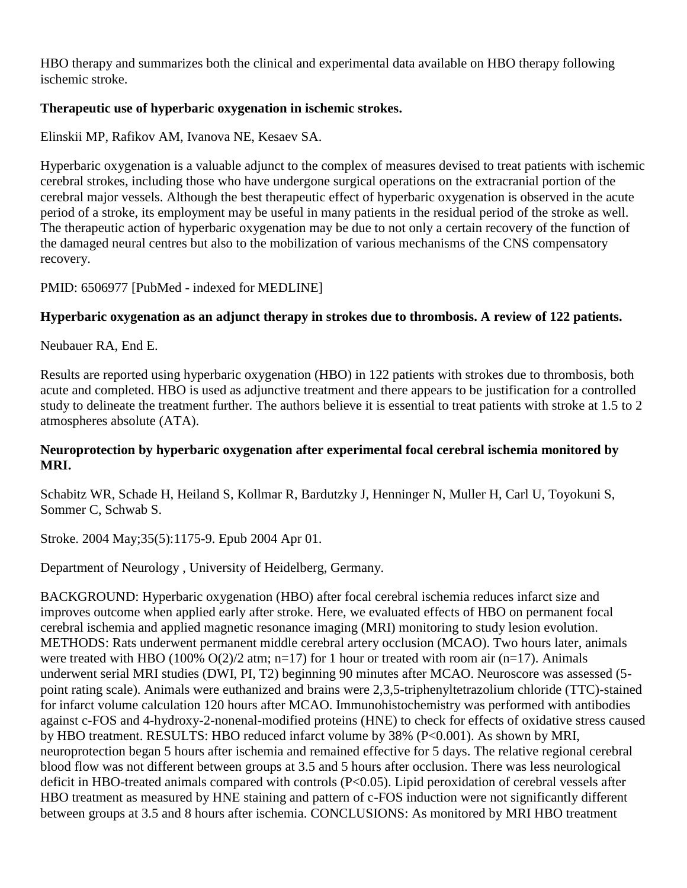HBO therapy and summarizes both the clinical and experimental data available on HBO therapy following ischemic stroke.

#### **Therapeutic use of hyperbaric oxygenation in ischemic strokes.**

Elinskii MP, Rafikov AM, Ivanova NE, Kesaev SA.

Hyperbaric oxygenation is a valuable adjunct to the complex of measures devised to treat patients with ischemic cerebral strokes, including those who have undergone surgical operations on the extracranial portion of the cerebral major vessels. Although the best therapeutic effect of hyperbaric oxygenation is observed in the acute period of a stroke, its employment may be useful in many patients in the residual period of the stroke as well. The therapeutic action of hyperbaric oxygenation may be due to not only a certain recovery of the function of the damaged neural centres but also to the mobilization of various mechanisms of the CNS compensatory recovery.

PMID: 6506977 [PubMed - indexed for MEDLINE]

#### **Hyperbaric oxygenation as an adjunct therapy in strokes due to thrombosis. A review of 122 patients.**

Neubauer RA, End E.

Results are reported using hyperbaric oxygenation (HBO) in 122 patients with strokes due to thrombosis, both acute and completed. HBO is used as adjunctive treatment and there appears to be justification for a controlled study to delineate the treatment further. The authors believe it is essential to treat patients with stroke at 1.5 to 2 atmospheres absolute (ATA).

#### **Neuroprotection by hyperbaric oxygenation after experimental focal cerebral ischemia monitored by MRI.**

Schabitz WR, Schade H, Heiland S, Kollmar R, Bardutzky J, Henninger N, Muller H, Carl U, Toyokuni S, Sommer C, Schwab S.

Stroke. 2004 May;35(5):1175-9. Epub 2004 Apr 01.

Department of Neurology , University of Heidelberg, Germany.

BACKGROUND: Hyperbaric oxygenation (HBO) after focal cerebral ischemia reduces infarct size and improves outcome when applied early after stroke. Here, we evaluated effects of HBO on permanent focal cerebral ischemia and applied magnetic resonance imaging (MRI) monitoring to study lesion evolution. METHODS: Rats underwent permanent middle cerebral artery occlusion (MCAO). Two hours later, animals were treated with HBO (100% O(2)/2 atm; n=17) for 1 hour or treated with room air (n=17). Animals underwent serial MRI studies (DWI, PI, T2) beginning 90 minutes after MCAO. Neuroscore was assessed (5 point rating scale). Animals were euthanized and brains were 2,3,5-triphenyltetrazolium chloride (TTC)-stained for infarct volume calculation 120 hours after MCAO. Immunohistochemistry was performed with antibodies against c-FOS and 4-hydroxy-2-nonenal-modified proteins (HNE) to check for effects of oxidative stress caused by HBO treatment. RESULTS: HBO reduced infarct volume by 38% (P<0.001). As shown by MRI, neuroprotection began 5 hours after ischemia and remained effective for 5 days. The relative regional cerebral blood flow was not different between groups at 3.5 and 5 hours after occlusion. There was less neurological deficit in HBO-treated animals compared with controls (P<0.05). Lipid peroxidation of cerebral vessels after HBO treatment as measured by HNE staining and pattern of c-FOS induction were not significantly different between groups at 3.5 and 8 hours after ischemia. CONCLUSIONS: As monitored by MRI HBO treatment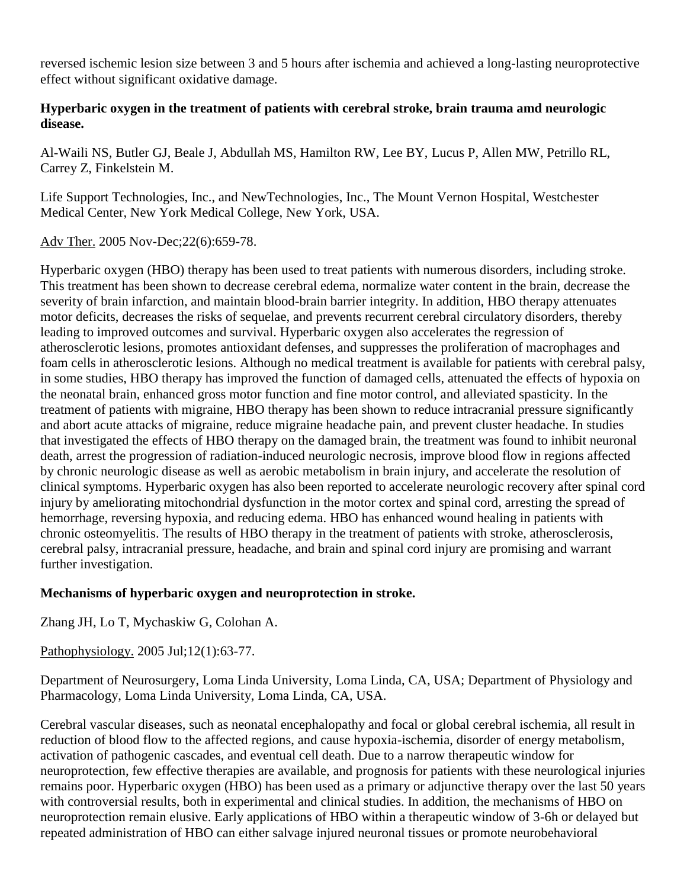reversed ischemic lesion size between 3 and 5 hours after ischemia and achieved a long-lasting neuroprotective effect without significant oxidative damage.

#### **Hyperbaric oxygen in the treatment of patients with cerebral stroke, brain trauma amd neurologic disease.**

[Al-Waili NS,](http://www.ncbi.nlm.nih.gov/entrez/query.fcgi?db=pubmed&cmd=Search&itool=pubmed_AbstractPlus&term=%22Al%2DWaili+NS%22%5BAuthor%5D) [Butler GJ,](http://www.ncbi.nlm.nih.gov/entrez/query.fcgi?db=pubmed&cmd=Search&itool=pubmed_AbstractPlus&term=%22Butler+GJ%22%5BAuthor%5D) [Beale J,](http://www.ncbi.nlm.nih.gov/entrez/query.fcgi?db=pubmed&cmd=Search&itool=pubmed_AbstractPlus&term=%22Beale+J%22%5BAuthor%5D) [Abdullah MS,](http://www.ncbi.nlm.nih.gov/entrez/query.fcgi?db=pubmed&cmd=Search&itool=pubmed_AbstractPlus&term=%22Abdullah+MS%22%5BAuthor%5D) [Hamilton RW,](http://www.ncbi.nlm.nih.gov/entrez/query.fcgi?db=pubmed&cmd=Search&itool=pubmed_AbstractPlus&term=%22Hamilton+RW%22%5BAuthor%5D) [Lee BY,](http://www.ncbi.nlm.nih.gov/entrez/query.fcgi?db=pubmed&cmd=Search&itool=pubmed_AbstractPlus&term=%22Lee+BY%22%5BAuthor%5D) [Lucus P,](http://www.ncbi.nlm.nih.gov/entrez/query.fcgi?db=pubmed&cmd=Search&itool=pubmed_AbstractPlus&term=%22Lucus+P%22%5BAuthor%5D) [Allen MW,](http://www.ncbi.nlm.nih.gov/entrez/query.fcgi?db=pubmed&cmd=Search&itool=pubmed_AbstractPlus&term=%22Allen+MW%22%5BAuthor%5D) [Petrillo RL,](http://www.ncbi.nlm.nih.gov/entrez/query.fcgi?db=pubmed&cmd=Search&itool=pubmed_AbstractPlus&term=%22Petrillo+RL%22%5BAuthor%5D) [Carrey Z,](http://www.ncbi.nlm.nih.gov/entrez/query.fcgi?db=pubmed&cmd=Search&itool=pubmed_AbstractPlus&term=%22Carrey+Z%22%5BAuthor%5D) [Finkelstein M.](http://www.ncbi.nlm.nih.gov/entrez/query.fcgi?db=pubmed&cmd=Search&itool=pubmed_AbstractPlus&term=%22Finkelstein+M%22%5BAuthor%5D)

Life Support Technologies, Inc., and NewTechnologies, Inc., The Mount Vernon Hospital, Westchester Medical Center, New York Medical College, New York, USA.

[Adv Ther.](javascript:AL_get(this,%20) 2005 Nov-Dec;22(6):659-78.

Hyperbaric oxygen (HBO) therapy has been used to treat patients with numerous disorders, including stroke. This treatment has been shown to decrease cerebral edema, normalize water content in the brain, decrease the severity of brain infarction, and maintain blood-brain barrier integrity. In addition, HBO therapy attenuates motor deficits, decreases the risks of sequelae, and prevents recurrent cerebral circulatory disorders, thereby leading to improved outcomes and survival. Hyperbaric oxygen also accelerates the regression of atherosclerotic lesions, promotes antioxidant defenses, and suppresses the proliferation of macrophages and foam cells in atherosclerotic lesions. Although no medical treatment is available for patients with cerebral palsy, in some studies, HBO therapy has improved the function of damaged cells, attenuated the effects of hypoxia on the neonatal brain, enhanced gross motor function and fine motor control, and alleviated spasticity. In the treatment of patients with migraine, HBO therapy has been shown to reduce intracranial pressure significantly and abort acute attacks of migraine, reduce migraine headache pain, and prevent cluster headache. In studies that investigated the effects of HBO therapy on the damaged brain, the treatment was found to inhibit neuronal death, arrest the progression of radiation-induced neurologic necrosis, improve blood flow in regions affected by chronic neurologic disease as well as aerobic metabolism in brain injury, and accelerate the resolution of clinical symptoms. Hyperbaric oxygen has also been reported to accelerate neurologic recovery after spinal cord injury by ameliorating mitochondrial dysfunction in the motor cortex and spinal cord, arresting the spread of hemorrhage, reversing hypoxia, and reducing edema. HBO has enhanced wound healing in patients with chronic osteomyelitis. The results of HBO therapy in the treatment of patients with stroke, atherosclerosis, cerebral palsy, intracranial pressure, headache, and brain and spinal cord injury are promising and warrant further investigation.

#### **Mechanisms of hyperbaric oxygen and neuroprotection in stroke.**

[Zhang JH,](http://www.ncbi.nlm.nih.gov/entrez/query.fcgi?db=pubmed&cmd=Search&itool=pubmed_AbstractPlus&term=%22Zhang+JH%22%5BAuthor%5D) [Lo T,](http://www.ncbi.nlm.nih.gov/entrez/query.fcgi?db=pubmed&cmd=Search&itool=pubmed_AbstractPlus&term=%22Lo+T%22%5BAuthor%5D) [Mychaskiw G,](http://www.ncbi.nlm.nih.gov/entrez/query.fcgi?db=pubmed&cmd=Search&itool=pubmed_AbstractPlus&term=%22Mychaskiw+G%22%5BAuthor%5D) [Colohan A.](http://www.ncbi.nlm.nih.gov/entrez/query.fcgi?db=pubmed&cmd=Search&itool=pubmed_AbstractPlus&term=%22Colohan+A%22%5BAuthor%5D)

[Pathophysiology.](javascript:AL_get(this,%20) 2005 Jul;12(1):63-77.

Department of Neurosurgery, Loma Linda University, Loma Linda, CA, USA; Department of Physiology and Pharmacology, Loma Linda University, Loma Linda, CA, USA.

Cerebral vascular diseases, such as neonatal encephalopathy and focal or global cerebral ischemia, all result in reduction of blood flow to the affected regions, and cause hypoxia-ischemia, disorder of energy metabolism, activation of pathogenic cascades, and eventual cell death. Due to a narrow therapeutic window for neuroprotection, few effective therapies are available, and prognosis for patients with these neurological injuries remains poor. Hyperbaric oxygen (HBO) has been used as a primary or adjunctive therapy over the last 50 years with controversial results, both in experimental and clinical studies. In addition, the mechanisms of HBO on neuroprotection remain elusive. Early applications of HBO within a therapeutic window of 3-6h or delayed but repeated administration of HBO can either salvage injured neuronal tissues or promote neurobehavioral